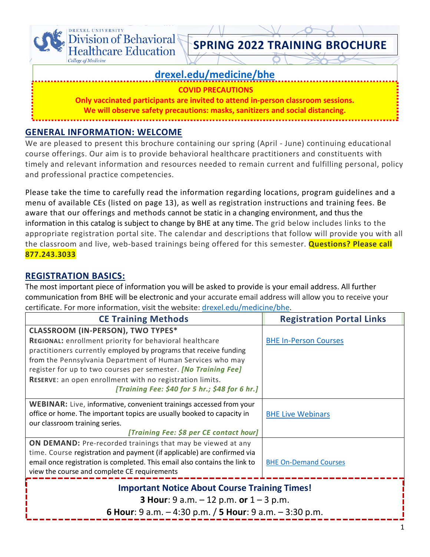

### **GENERAL INFORMATION: WELCOME**

We are pleased to present this brochure containing our spring (April - June) continuing educational course offerings. Our aim is to provide behavioral healthcare practitioners and constituents with timely and relevant information and resources needed to remain current and fulfilling personal, policy and professional practice competencies.

Please take the time to carefully read the information regarding locations, program guidelines and a menu of available CEs (listed on page 13), as well as registration instructions and training fees. Be aware that our offerings and methods cannot be static in a changing environment, and thus the information in this catalog is subject to change by BHE at any time. The grid below includes links to the appropriate registration portal site. The calendar and descriptions that follow will provide you with all the classroom and live, web-based trainings being offered for this semester. **Questions? Please call 877.243.3033**

### **REGISTRATION BASICS:**

The most important piece of information you will be asked to provide is your email address. All further communication from BHE will be electronic and your accurate email address will allow you to receive your certificate. For more information, visit the website[: drexel.edu/medicine/bhe.](https://www.drexel.edu/medicine/bhe)

| <b>CE Training Methods</b>                                                                                 | <b>Registration Portal Links</b> |  |
|------------------------------------------------------------------------------------------------------------|----------------------------------|--|
| <b>CLASSROOM (IN-PERSON), TWO TYPES*</b>                                                                   |                                  |  |
| REGIONAL: enrollment priority for behavioral healthcare                                                    | <b>BHE In-Person Courses</b>     |  |
| practitioners currently employed by programs that receive funding                                          |                                  |  |
| from the Pennsylvania Department of Human Services who may                                                 |                                  |  |
| register for up to two courses per semester. [No Training Fee]                                             |                                  |  |
| RESERVE: an open enrollment with no registration limits.<br>[Training Fee: \$40 for 5 hr.; \$48 for 6 hr.] |                                  |  |
|                                                                                                            |                                  |  |
| <b>WEBINAR:</b> Live, informative, convenient trainings accessed from your                                 |                                  |  |
| office or home. The important topics are usually booked to capacity in                                     | <b>BHE Live Webinars</b>         |  |
| our classroom training series.                                                                             |                                  |  |
| [Training Fee: \$8 per CE contact hour]                                                                    |                                  |  |
| <b>ON DEMAND:</b> Pre-recorded trainings that may be viewed at any                                         |                                  |  |
| time. Course registration and payment (if applicable) are confirmed via                                    |                                  |  |
| email once registration is completed. This email also contains the link to                                 | <b>BHE On-Demand Courses</b>     |  |
| view the course and complete CE requirements                                                               |                                  |  |
| <b>Important Notice About Course Training Times!</b>                                                       |                                  |  |
| <b>3 Hour:</b> 9 a.m. $-12$ p.m. or $1 - 3$ p.m.                                                           |                                  |  |
| 6 Hour: 9 a.m. $-4:30$ p.m. / 5 Hour: 9 a.m. $-3:30$ p.m.                                                  |                                  |  |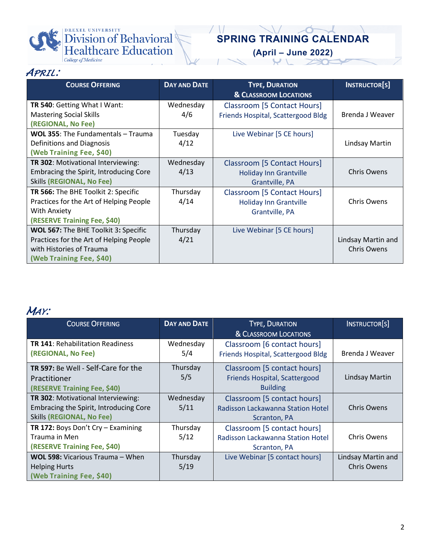

# **SPRING TRAINING CALENDAR**

**(April – June 2022)**

| APRIL: |  |  |
|--------|--|--|
|        |  |  |

| <b>COURSE OFFERING</b>                    | <b>DAY AND DATE</b> | <b>TYPE, DURATION</b>              | <b>INSTRUCTOR[S]</b> |
|-------------------------------------------|---------------------|------------------------------------|----------------------|
|                                           |                     | <b>&amp; CLASSROOM LOCATIONS</b>   |                      |
| TR 540: Getting What I Want:              | Wednesday           | Classroom [5 Contact Hours]        |                      |
| <b>Mastering Social Skills</b>            | 4/6                 | Friends Hospital, Scattergood Bldg | Brenda J Weaver      |
| (REGIONAL, No Fee)                        |                     |                                    |                      |
| <b>WOL 355: The Fundamentals - Trauma</b> | Tuesday             | Live Webinar [5 CE hours]          |                      |
| Definitions and Diagnosis                 | 4/12                |                                    | Lindsay Martin       |
| (Web Training Fee, \$40)                  |                     |                                    |                      |
| TR 302: Motivational Interviewing:        | Wednesday           | Classroom [5 Contact Hours]        |                      |
| Embracing the Spirit, Introducing Core    | 4/13                | <b>Holiday Inn Grantville</b>      | <b>Chris Owens</b>   |
| <b>Skills (REGIONAL, No Fee)</b>          |                     | Grantville, PA                     |                      |
| TR 566: The BHE Toolkit 2: Specific       | Thursday            | Classroom [5 Contact Hours]        |                      |
| Practices for the Art of Helping People   | 4/14                | <b>Holiday Inn Grantville</b>      | Chris Owens          |
| With Anxiety                              |                     | Grantville, PA                     |                      |
| (RESERVE Training Fee, \$40)              |                     |                                    |                      |
| WOL 567: The BHE Toolkit 3: Specific      | Thursday            | Live Webinar [5 CE hours]          |                      |
| Practices for the Art of Helping People   | 4/21                |                                    | Lindsay Martin and   |
| with Histories of Trauma                  |                     |                                    | <b>Chris Owens</b>   |
| (Web Training Fee, \$40)                  |                     |                                    |                      |

## *MAY:*

| <b>COURSE OFFERING</b>                                                                                           | <b>DAY AND DATE</b> | <b>TYPE, DURATION</b><br>& CLASSROOM LOCATIONS                                   | INSTRUCTOR[S]                            |
|------------------------------------------------------------------------------------------------------------------|---------------------|----------------------------------------------------------------------------------|------------------------------------------|
| <b>TR 141: Rehabilitation Readiness</b><br>(REGIONAL, No Fee)                                                    | Wednesday<br>5/4    | Classroom [6 contact hours]<br>Friends Hospital, Scattergood Bldg                | Brenda J Weaver                          |
| <b>TR 597:</b> Be Well - Self-Care for the<br>Practitioner<br>(RESERVE Training Fee, \$40)                       | Thursday<br>5/5     | Classroom [5 contact hours]<br>Friends Hospital, Scattergood<br><b>Building</b>  | Lindsay Martin                           |
| TR 302: Motivational Interviewing:<br>Embracing the Spirit, Introducing Core<br><b>Skills (REGIONAL, No Fee)</b> | Wednesday<br>5/11   | Classroom [5 contact hours]<br>Radisson Lackawanna Station Hotel<br>Scranton, PA | <b>Chris Owens</b>                       |
| TR 172: Boys Don't Cry - Examining<br>Trauma in Men<br>(RESERVE Training Fee, \$40)                              | Thursday<br>5/12    | Classroom [5 contact hours]<br>Radisson Lackawanna Station Hotel<br>Scranton, PA | <b>Chris Owens</b>                       |
| WOL 598: Vicarious Trauma - When<br><b>Helping Hurts</b><br>(Web Training Fee, \$40)                             | Thursday<br>5/19    | Live Webinar [5 contact hours]                                                   | Lindsay Martin and<br><b>Chris Owens</b> |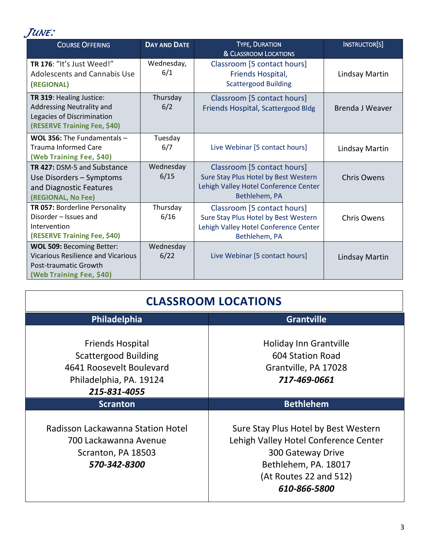

| <b>COURSE OFFERING</b>                                                                                                      | <b>DAY AND DATE</b> | <b>TYPE, DURATION</b><br>& CLASSROOM LOCATIONS                                                                                | INSTRUCTOR[S]      |
|-----------------------------------------------------------------------------------------------------------------------------|---------------------|-------------------------------------------------------------------------------------------------------------------------------|--------------------|
| TR 176: "It's Just Weed!"<br><b>Adolescents and Cannabis Use</b><br>(REGIONAL)                                              | Wednesday,<br>6/1   | Classroom [5 contact hours]<br>Friends Hospital,<br><b>Scattergood Building</b>                                               | Lindsay Martin     |
| TR 319: Healing Justice:<br>Addressing Neutrality and<br>Legacies of Discrimination<br>(RESERVE Training Fee, \$40)         | Thursday<br>6/2     | Classroom [5 contact hours]<br>Friends Hospital, Scattergood Bldg                                                             | Brenda J Weaver    |
| <b>WOL 356:</b> The Fundamentals $-$<br>Trauma Informed Care<br>(Web Training Fee, \$40)                                    | Tuesday<br>6/7      | Live Webinar [5 contact hours]                                                                                                | Lindsay Martin     |
| TR 427: DSM-5 and Substance<br>Use Disorders - Symptoms<br>and Diagnostic Features<br>(REGIONAL, No Fee)                    | Wednesday<br>6/15   | Classroom [5 contact hours]<br>Sure Stay Plus Hotel by Best Western<br>Lehigh Valley Hotel Conference Center<br>Bethlehem, PA | <b>Chris Owens</b> |
| TR 057: Borderline Personality<br>Disorder - Issues and<br>Intervention<br>(RESERVE Training Fee, \$40)                     | Thursday<br>6/16    | Classroom [5 contact hours]<br>Sure Stay Plus Hotel by Best Western<br>Lehigh Valley Hotel Conference Center<br>Bethlehem, PA | <b>Chris Owens</b> |
| WOL 509: Becoming Better:<br><b>Vicarious Resilience and Vicarious</b><br>Post-traumatic Growth<br>(Web Training Fee, \$40) | Wednesday<br>6/22   | Live Webinar [5 contact hours]                                                                                                | Lindsay Martin     |

| <b>CLASSROOM LOCATIONS</b>                                                                                                    |                                                                                                                                                                      |  |
|-------------------------------------------------------------------------------------------------------------------------------|----------------------------------------------------------------------------------------------------------------------------------------------------------------------|--|
| Philadelphia<br>Grantville                                                                                                    |                                                                                                                                                                      |  |
| <b>Friends Hospital</b><br><b>Scattergood Building</b><br>4641 Roosevelt Boulevard<br>Philadelphia, PA. 19124<br>215-831-4055 | Holiday Inn Grantville<br>604 Station Road<br>Grantville, PA 17028<br>717-469-0661                                                                                   |  |
| <b>Scranton</b>                                                                                                               | <b>Bethlehem</b>                                                                                                                                                     |  |
| Radisson Lackawanna Station Hotel<br>700 Lackawanna Avenue<br>Scranton, PA 18503<br>570-342-8300                              | Sure Stay Plus Hotel by Best Western<br>Lehigh Valley Hotel Conference Center<br>300 Gateway Drive<br>Bethlehem, PA. 18017<br>(At Routes 22 and 512)<br>610-866-5800 |  |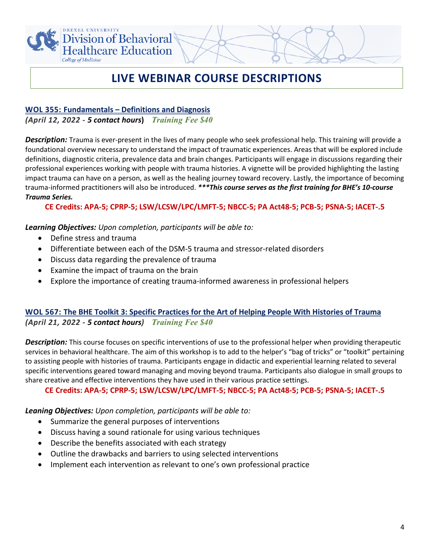

## **LIVE WEBINAR COURSE DESCRIPTIONS**

### **WOL 355: Fundamentals – Definitions and Diagnosis**

*(April 12, 2022 - 5 contact hours***)** *Training Fee \$40*

*Description:* Trauma is ever-present in the lives of many people who seek professional help. This training will provide a foundational overview necessary to understand the impact of traumatic experiences. Areas that will be explored include definitions, diagnostic criteria, prevalence data and brain changes. Participants will engage in discussions regarding their professional experiences working with people with trauma histories. A vignette will be provided highlighting the lasting impact trauma can have on a person, as well as the healing journey toward recovery. Lastly, the importance of becoming trauma-informed practitioners will also be introduced. *\*\*\*This course serves as the first training for BHE's 10-course Trauma Series.*

### **CE Credits: APA-5; CPRP-5; LSW/LCSW/LPC/LMFT-5; NBCC-5; PA Act48-5; PCB-5; PSNA-5; IACET-.5**

### *Learning Objectives: Upon completion, participants will be able to:*

- Define stress and trauma
- Differentiate between each of the DSM-5 trauma and stressor-related disorders
- Discuss data regarding the prevalence of trauma
- Examine the impact of trauma on the brain
- Explore the importance of creating trauma-informed awareness in professional helpers

### **WOL 567: The BHE Toolkit 3: Specific Practices for the Art of Helping People With Histories of Trauma** *(April 21, 2022 - 5 contact hours) Training Fee \$40*

*Description:* This course focuses on specific interventions of use to the professional helper when providing therapeutic services in behavioral healthcare. The aim of this workshop is to add to the helper's "bag of tricks" or "toolkit" pertaining to assisting people with histories of trauma. Participants engage in didactic and experiential learning related to several specific interventions geared toward managing and moving beyond trauma. Participants also dialogue in small groups to share creative and effective interventions they have used in their various practice settings.

### **CE Credits: APA-5; CPRP-5; LSW/LCSW/LPC/LMFT-5; NBCC-5; PA Act48-5; PCB-5; PSNA-5; IACET-.5**

- Summarize the general purposes of interventions
- Discuss having a sound rationale for using various techniques
- Describe the benefits associated with each strategy
- Outline the drawbacks and barriers to using selected interventions
- Implement each intervention as relevant to one's own professional practice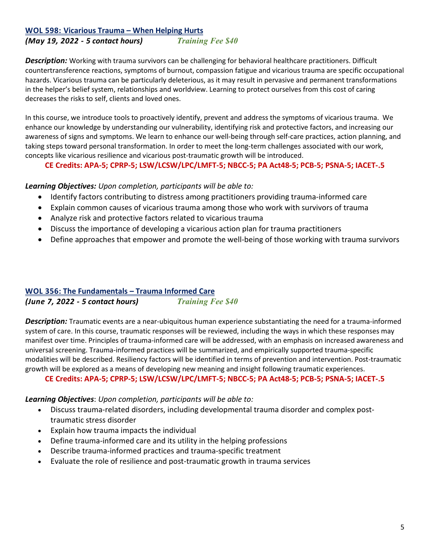## **WOL 598: Vicarious Trauma – When Helping Hurts**

*(May 19, 2022 - 5 contact hours) Training Fee \$40*

*Description:* Working with trauma survivors can be challenging for behavioral healthcare practitioners. Difficult countertransference reactions, symptoms of burnout, compassion fatigue and vicarious trauma are specific occupational hazards. Vicarious trauma can be particularly deleterious, as it may result in pervasive and permanent transformations in the helper's belief system, relationships and worldview. Learning to protect ourselves from this cost of caring decreases the risks to self, clients and loved ones.

In this course, we introduce tools to proactively identify, prevent and address the symptoms of vicarious trauma.  We enhance our knowledge by understanding our vulnerability, identifying risk and protective factors, and increasing our awareness of signs and symptoms. We learn to enhance our well-being through self-care practices, action planning, and taking steps toward personal transformation. In order to meet the long-term challenges associated with our work, concepts like vicarious resilience and vicarious post-traumatic growth will be introduced.

**CE Credits: APA-5; CPRP-5; LSW/LCSW/LPC/LMFT-5; NBCC-5; PA Act48-5; PCB-5; PSNA-5; IACET-.5**

### *Learning Objectives: Upon completion, participants will be able to:*

- Identify factors contributing to distress among practitioners providing trauma-informed care
- Explain common causes of vicarious trauma among those who work with survivors of trauma
- Analyze risk and protective factors related to vicarious trauma
- Discuss the importance of developing a vicarious action plan for trauma practitioners
- Define approaches that empower and promote the well-being of those working with trauma survivors

### **WOL 356: The Fundamentals – Trauma Informed Care**

*(June 7, 2022 - 5 contact hours) Training Fee \$40*

*Description:* Traumatic events are a near-ubiquitous human experience substantiating the need for a trauma-informed system of care. In this course, traumatic responses will be reviewed, including the ways in which these responses may manifest over time. Principles of trauma-informed care will be addressed, with an emphasis on increased awareness and universal screening. Trauma-informed practices will be summarized, and empirically supported trauma-specific modalities will be described. Resiliency factors will be identified in terms of prevention and intervention. Post-traumatic growth will be explored as a means of developing new meaning and insight following traumatic experiences.

**CE Credits: APA-5; CPRP-5; LSW/LCSW/LPC/LMFT-5; NBCC-5; PA Act48-5; PCB-5; PSNA-5; IACET-.5**

- Discuss trauma-related disorders, including developmental trauma disorder and complex posttraumatic stress disorder
- Explain how trauma impacts the individual
- Define trauma-informed care and its utility in the helping professions
- Describe trauma-informed practices and trauma-specific treatment
- Evaluate the role of resilience and post-traumatic growth in trauma services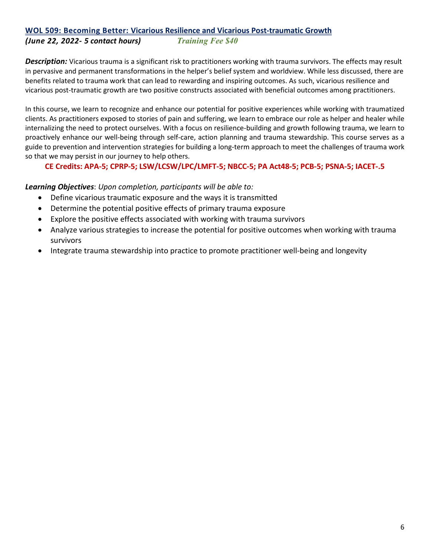## **WOL 509: Becoming Better: Vicarious Resilience and Vicarious Post-traumatic Growth**

### *(June 22, 2022- 5 contact hours) Training Fee \$40*

*Description:* Vicarious trauma is a significant risk to practitioners working with trauma survivors. The effects may result in pervasive and permanent transformations in the helper's belief system and worldview. While less discussed, there are benefits related to trauma work that can lead to rewarding and inspiring outcomes. As such, vicarious resilience and vicarious post-traumatic growth are two positive constructs associated with beneficial outcomes among practitioners.

In this course, we learn to recognize and enhance our potential for positive experiences while working with traumatized clients. As practitioners exposed to stories of pain and suffering, we learn to embrace our role as helper and healer while internalizing the need to protect ourselves. With a focus on resilience-building and growth following trauma, we learn to proactively enhance our well-being through self-care, action planning and trauma stewardship. This course serves as a guide to prevention and intervention strategies for building a long-term approach to meet the challenges of trauma work so that we may persist in our journey to help others.

### **CE Credits: APA-5; CPRP-5; LSW/LCSW/LPC/LMFT-5; NBCC-5; PA Act48-5; PCB-5; PSNA-5; IACET-.5**

- Define vicarious traumatic exposure and the ways it is transmitted
- Determine the potential positive effects of primary trauma exposure
- Explore the positive effects associated with working with trauma survivors
- Analyze various strategies to increase the potential for positive outcomes when working with trauma survivors
- Integrate trauma stewardship into practice to promote practitioner well-being and longevity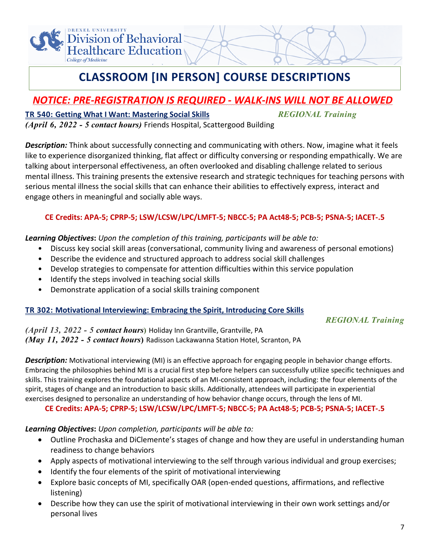

## **CLASSROOM [IN PERSON] COURSE DESCRIPTIONS**

## *NOTICE: PRE-REGISTRATION IS REQUIRED - WALK-INS WILL NOT BE ALLOWED*

### **TR 540: Getting What I Want: Mastering Social Skills** *REGIONAL Training (April 6, 2022 - 5 contact hours)* Friends Hospital, Scattergood Building

*Description:* Think about successfully connecting and communicating with others. Now, imagine what it feels like to experience disorganized thinking, flat affect or difficulty conversing or responding empathically. We are talking about interpersonal effectiveness, an often overlooked and disabling challenge related to serious mental illness. This training presents the extensive research and strategic techniques for teaching persons with serious mental illness the social skills that can enhance their abilities to effectively express, interact and engage others in meaningful and socially able ways.

### **CE Credits: APA-5; CPRP-5; LSW/LCSW/LPC/LMFT-5; NBCC-5; PA Act48-5; PCB-5; PSNA-5; IACET-.5**

### *Learning Objectives***:** *Upon the completion of this training, participants will be able to:*

- Discuss key social skill areas (conversational, community living and awareness of personal emotions)
- Describe the evidence and structured approach to address social skill challenges
- Develop strategies to compensate for attention difficulties within this service population
- Identify the steps involved in teaching social skills
- Demonstrate application of a social skills training component

### **TR 302: Motivational Interviewing: Embracing the Spirit, Introducing Core Skills**

### *REGIONAL Training*

*(April 13, 2022 - 5 contact hours***)** Holiday Inn Grantville, Grantville, PA *(May 11, 2022 - 5 contact hours***)** Radisson Lackawanna Station Hotel, Scranton, PA

*Description:* Motivational interviewing (MI) is an effective approach for engaging people in behavior change efforts. Embracing the philosophies behind MI is a crucial first step before helpers can successfully utilize specific techniques and skills. This training explores the foundational aspects of an MI-consistent approach, including: the four elements of the spirit, stages of change and an introduction to basic skills. Additionally, attendees will participate in experiential exercises designed to personalize an understanding of how behavior change occurs, through the lens of MI.

### **CE Credits: APA-5; CPRP-5; LSW/LCSW/LPC/LMFT-5; NBCC-5; PA Act48-5; PCB-5; PSNA-5; IACET-.5**

- Outline Prochaska and DiClemente's stages of change and how they are useful in understanding human readiness to change behaviors
- Apply aspects of motivational interviewing to the self through various individual and group exercises;
- Identify the four elements of the spirit of motivational interviewing
- Explore basic concepts of MI, specifically OAR (open-ended questions, affirmations, and reflective listening)
- Describe how they can use the spirit of motivational interviewing in their own work settings and/or personal lives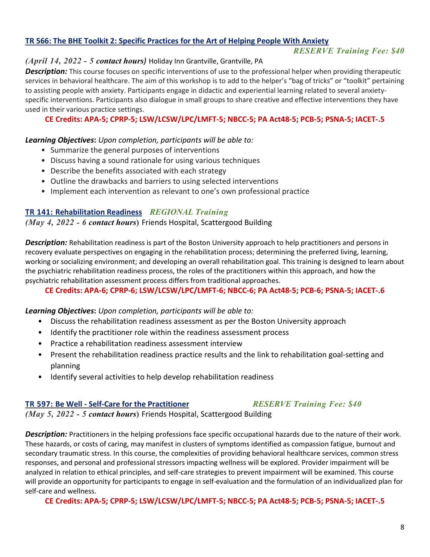### **TR 566: The BHE Toolkit 2: Specific Practices for the Art of Helping People With Anxiety**

### *RESERVE Training Fee: \$40*

### *(April 14, 2022 - 5 contact hours)* Holiday Inn Grantville, Grantville, PA

*Description:* This course focuses on specific interventions of use to the professional helper when providing therapeutic services in behavioral healthcare. The aim of this workshop is to add to the helper's "bag of tricks" or "toolkit" pertaining to assisting people with anxiety. Participants engage in didactic and experiential learning related to several anxietyspecific interventions. Participants also dialogue in small groups to share creative and effective interventions they have used in their various practice settings.

**CE Credits: APA-5; CPRP-5; LSW/LCSW/LPC/LMFT-5; NBCC-5; PA Act48-5; PCB-5; PSNA-5; IACET-.5**

### *Learning Objectives***:** *Upon completion, participants will be able to:*

- Summarize the general purposes of interventions
- Discuss having a sound rationale for using various techniques
- Describe the benefits associated with each strategy
- Outline the drawbacks and barriers to using selected interventions
- Implement each intervention as relevant to one's own professional practice

### **TR 141: Rehabilitation Readiness** *REGIONAL Training*

*(May 4, 2022 - 6 contact hours***)** Friends Hospital, Scattergood Building

*Description:* Rehabilitation readiness is part of the Boston University approach to help practitioners and persons in recovery evaluate perspectives on engaging in the rehabilitation process; determining the preferred living, learning, working or socializing environment; and developing an overall rehabilitation goal. This training is designed to learn about the psychiatric rehabilitation readiness process, the roles of the practitioners within this approach, and how the psychiatric rehabilitation assessment process differs from traditional approaches.

### **CE Credits: APA-6; CPRP-6; LSW/LCSW/LPC/LMFT-6; NBCC-6; PA Act48-5; PCB-6; PSNA-5; IACET-.6**

### *Learning Objectives***:** *Upon completion, participants will be able to:*

- Discuss the rehabilitation readiness assessment as per the Boston University approach
- Identify the practitioner role within the readiness assessment process
- Practice a rehabilitation readiness assessment interview
- Present the rehabilitation readiness practice results and the link to rehabilitation goal-setting and planning
- Identify several activities to help develop rehabilitation readiness

### **TR 597: Be Well - Self-Care for the Practitioner** *RESERVE Training Fee: \$40*

### *(May 5, 2022 - 5 contact hours***)** Friends Hospital, Scattergood Building

*Description:* Practitioners in the helping professions face specific occupational hazards due to the nature of their work. These hazards, or costs of caring, may manifest in clusters of symptoms identified as compassion fatigue, burnout and secondary traumatic stress. In this course, the complexities of providing behavioral healthcare services, common stress responses, and personal and professional stressors impacting wellness will be explored. Provider impairment will be analyzed in relation to ethical principles, and self-care strategies to prevent impairment will be examined. This course will provide an opportunity for participants to engage in self-evaluation and the formulation of an individualized plan for self-care and wellness.

**CE Credits: APA-5; CPRP-5; LSW/LCSW/LPC/LMFT-5; NBCC-5; PA Act48-5; PCB-5; PSNA-5; IACET-.5**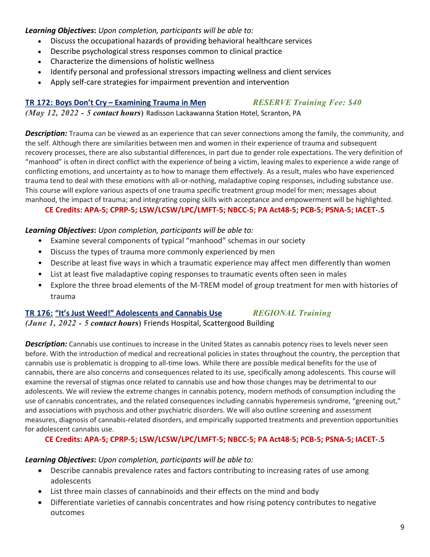### *Learning Objectives***:** *Upon completion, participants will be able to:*

- Discuss the occupational hazards of providing behavioral healthcare services
- Describe psychological stress responses common to clinical practice
- Characterize the dimensions of holistic wellness
- Identify personal and professional stressors impacting wellness and client services
- Apply self-care strategies for impairment prevention and intervention

### **TR 172: Boys Don't Cry – Examining Trauma in Men** *RESERVE Training Fee: \$40*

*(May 12, 2022 - 5 contact hours***)** Radisson Lackawanna Station Hotel, Scranton, PA

*Description:* Trauma can be viewed as an experience that can sever connections among the family, the community, and the self. Although there are similarities between men and women in their experience of trauma and subsequent recovery processes, there are also substantial differences, in part due to gender role expectations. The very definition of "manhood" is often in direct conflict with the experience of being a victim, leaving males to experience a wide range of conflicting emotions, and uncertainty as to how to manage them effectively. As a result, males who have experienced trauma tend to deal with these emotions with all-or-nothing, maladaptive coping responses, including substance use. This course will explore various aspects of one trauma specific treatment group model for men; messages about manhood, the impact of trauma; and integrating coping skills with acceptance and empowerment will be highlighted.

### **CE Credits: APA-5; CPRP-5; LSW/LCSW/LPC/LMFT-5; NBCC-5; PA Act48-5; PCB-5; PSNA-5; IACET-.5**

### *Learning Objectives***:** *Upon completion, participants will be able to:*

- Examine several components of typical "manhood" schemas in our society
- Discuss the types of trauma more commonly experienced by men
- Describe at least five ways in which a traumatic experience may affect men differently than women
- List at least five maladaptive coping responses to traumatic events often seen in males
- Explore the three broad elements of the M-TREM model of group treatment for men with histories of trauma

### **TR 176: "It's Just Weed!" Adolescents and Cannabis Use** *REGIONAL Training*

*(June 1, 2022 - 5 contact hours***)** Friends Hospital, Scattergood Building

*Description:* Cannabis use continues to increase in the United States as cannabis potency rises to levels never seen before. With the introduction of medical and recreational policies in states throughout the country, the perception that cannabis use is problematic is dropping to all-time lows. While there are possible medical benefits for the use of cannabis, there are also concerns and consequences related to its use, specifically among adolescents. This course will examine the reversal of stigmas once related to cannabis use and how those changes may be detrimental to our adolescents. We will review the extreme changes in cannabis potency, modern methods of consumption including the use of cannabis concentrates, and the related consequences including cannabis hyperemesis syndrome, "greening out," and associations with psychosis and other psychiatric disorders. We will also outline screening and assessment measures, diagnosis of cannabis-related disorders, and empirically supported treatments and prevention opportunities for adolescent cannabis use.

### **CE Credits: APA-5; CPRP-5; LSW/LCSW/LPC/LMFT-5; NBCC-5; PA Act48-5; PCB-5; PSNA-5; IACET-.5**

- Describe cannabis prevalence rates and factors contributing to increasing rates of use among adolescents
- List three main classes of cannabinoids and their effects on the mind and body
- Differentiate varieties of cannabis concentrates and how rising potency contributes to negative outcomes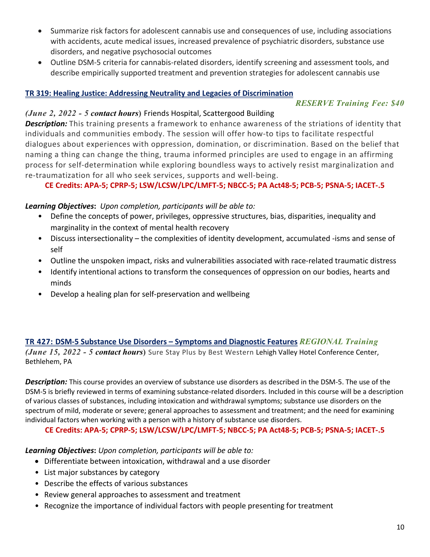- Summarize risk factors for adolescent cannabis use and consequences of use, including associations with accidents, acute medical issues, increased prevalence of psychiatric disorders, substance use disorders, and negative psychosocial outcomes
- Outline DSM-5 criteria for cannabis-related disorders, identify screening and assessment tools, and describe empirically supported treatment and prevention strategies for adolescent cannabis use

### **TR 319: Healing Justice: Addressing Neutrality and Legacies of Discrimination**

### *RESERVE Training Fee: \$40*

### *(June 2, 2022 - 5 contact hours***)** Friends Hospital, Scattergood Building

*Description:* This training presents a framework to enhance awareness of the striations of identity that individuals and communities embody. The session will offer how-to tips to facilitate respectful dialogues about experiences with oppression, domination, or discrimination. Based on the belief that naming a thing can change the thing, trauma informed principles are used to engage in an affirming process for self-determination while exploring boundless ways to actively resist marginalization and re-traumatization for all who seek services, supports and well-being.

### **CE Credits: APA-5; CPRP-5; LSW/LCSW/LPC/LMFT-5; NBCC-5; PA Act48-5; PCB-5; PSNA-5; IACET-.5**

### *Learning Objectives***:** *Upon completion, participants will be able to:*

- Define the concepts of power, privileges, oppressive structures, bias, disparities, inequality and marginality in the context of mental health recovery
- Discuss intersectionality the complexities of identity development, accumulated -isms and sense of self
- Outline the unspoken impact, risks and vulnerabilities associated with race-related traumatic distress
- Identify intentional actions to transform the consequences of oppression on our bodies, hearts and minds
- Develop a healing plan for self-preservation and wellbeing

### **TR 427: DSM-5 Substance Use Disorders – Symptoms and Diagnostic Features** *REGIONAL Training (June 15, 2022 - 5 contact hours***)** Sure Stay Plus by Best Western Lehigh Valley Hotel Conference Center, Bethlehem, PA

*Description:* This course provides an overview of substance use disorders as described in the DSM-5. The use of the DSM-5 is briefly reviewed in terms of examining substance-related disorders. Included in this course will be a description of various classes of substances, including intoxication and withdrawal symptoms; substance use disorders on the spectrum of mild, moderate or severe; general approaches to assessment and treatment; and the need for examining individual factors when working with a person with a history of substance use disorders.

**CE Credits: APA-5; CPRP-5; LSW/LCSW/LPC/LMFT-5; NBCC-5; PA Act48-5; PCB-5; PSNA-5; IACET-.5**

- Differentiate between intoxication, withdrawal and a use disorder
- List major substances by category
- Describe the effects of various substances
- Review general approaches to assessment and treatment
- Recognize the importance of individual factors with people presenting for treatment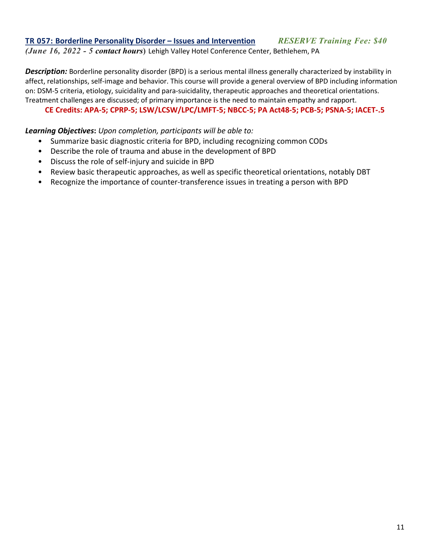## **TR 057: Borderline Personality Disorder – Issues and Intervention** *RESERVE Training Fee: \$40*

*(June 16, 2022 - 5 contact hours***)** Lehigh Valley Hotel Conference Center, Bethlehem, PA

*Description:* Borderline personality disorder (BPD) is a serious mental illness generally characterized by instability in affect, relationships, self-image and behavior. This course will provide a general overview of BPD including information on: DSM-5 criteria, etiology, suicidality and para-suicidality, therapeutic approaches and theoretical orientations. Treatment challenges are discussed; of primary importance is the need to maintain empathy and rapport.

### **CE Credits: APA-5; CPRP-5; LSW/LCSW/LPC/LMFT-5; NBCC-5; PA Act48-5; PCB-5; PSNA-5; IACET-.5**

- Summarize basic diagnostic criteria for BPD, including recognizing common CODs
- Describe the role of trauma and abuse in the development of BPD
- Discuss the role of self-injury and suicide in BPD
- Review basic therapeutic approaches, as well as specific theoretical orientations, notably DBT
- Recognize the importance of counter-transference issues in treating a person with BPD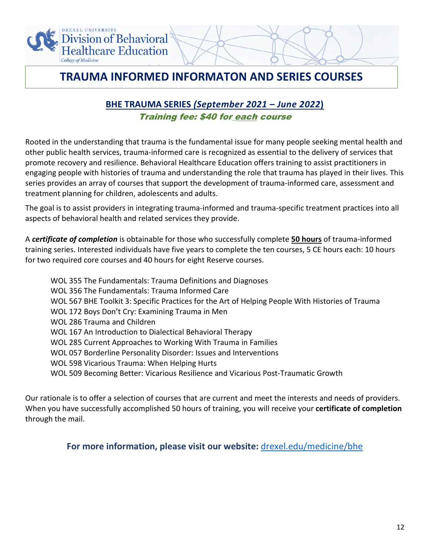

## **TRAUMA INFORMED INFORMATON AND SERIES COURSES**

### **BHE TRAUMA SERIES** *(September 2021 – June 2022***)** Training fee: \$40 for each course

Rooted in the understanding that trauma is the fundamental issue for many people seeking mental health and other public health services, trauma-informed care is recognized as essential to the delivery of services that promote recovery and resilience. Behavioral Healthcare Education offers training to assist practitioners in engaging people with histories of trauma and understanding the role that trauma has played in their lives. This series provides an array of courses that support the development of trauma-informed care, assessment and treatment planning for children, adolescents and adults.

The goal is to assist providers in integrating trauma-informed and trauma-specific treatment practices into all aspects of behavioral health and related services they provide.

A *certificate of completion* is obtainable for those who successfully complete **50 hours** of trauma-informed training series. Interested individuals have five years to complete the ten courses, 5 CE hours each: 10 hours for two required core courses and 40 hours for eight Reserve courses.

WOL 355 The Fundamentals: Trauma Definitions and Diagnoses WOL 356 The Fundamentals: Trauma Informed Care WOL 567 BHE Toolkit 3: Specific Practices for the Art of Helping People With Histories of Trauma WOL 172 Boys Don't Cry: Examining Trauma in Men WOL 286 Trauma and Children WOL 167 An Introduction to Dialectical Behavioral Therapy WOL 285 Current Approaches to Working With Trauma in Families WOL 057 Borderline Personality Disorder: Issues and Interventions WOL 598 Vicarious Trauma: When Helping Hurts WOL 509 Becoming Better: Vicarious Resilience and Vicarious Post-Traumatic Growth

Our rationale is to offer a selection of courses that are current and meet the interests and needs of providers. When you have successfully accomplished 50 hours of training, you will receive your **certificate of completion** through the mail.

**For more information, please visit our website:** [drexel.edu/medicine/bhe](http://www.drexel.edu/medicine/bhe)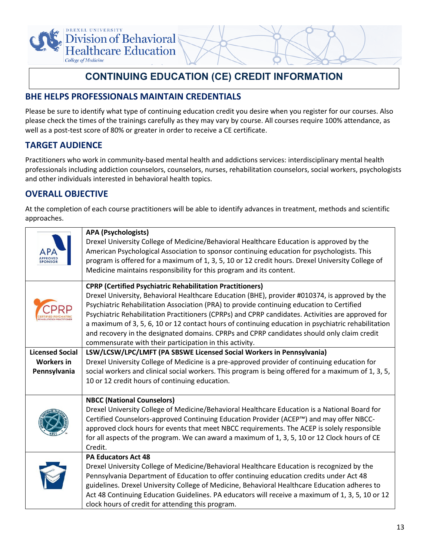

## **CONTINUING EDUCATION (CE) CREDIT INFORMATION**

### **BHE HELPS PROFESSIONALS MAINTAIN CREDENTIALS**

Please be sure to identify what type of continuing education credit you desire when you register for our courses. Also please check the times of the trainings carefully as they may vary by course. All courses require 100% attendance, as well as a post-test score of 80% or greater in order to receive a CE certificate.

### **TARGET AUDIENCE**

Practitioners who work in community-based mental health and addictions services: interdisciplinary mental health professionals including addiction counselors, counselors, nurses, rehabilitation counselors, social workers, psychologists and other individuals interested in behavioral health topics.

### **OVERALL OBJECTIVE**

At the completion of each course practitioners will be able to identify advances in treatment, methods and scientific approaches.

| APPROVED               | <b>APA (Psychologists)</b><br>Drexel University College of Medicine/Behavioral Healthcare Education is approved by the<br>American Psychological Association to sponsor continuing education for psychologists. This<br>program is offered for a maximum of 1, 3, 5, 10 or 12 credit hours. Drexel University College of<br>Medicine maintains responsibility for this program and its content.                                                                                                                                                                                                                                     |
|------------------------|-------------------------------------------------------------------------------------------------------------------------------------------------------------------------------------------------------------------------------------------------------------------------------------------------------------------------------------------------------------------------------------------------------------------------------------------------------------------------------------------------------------------------------------------------------------------------------------------------------------------------------------|
|                        | <b>CPRP (Certified Psychiatric Rehabilitation Practitioners)</b><br>Drexel University, Behavioral Healthcare Education (BHE), provider #010374, is approved by the<br>Psychiatric Rehabilitation Association (PRA) to provide continuing education to Certified<br>Psychiatric Rehabilitation Practitioners (CPRPs) and CPRP candidates. Activities are approved for<br>a maximum of 3, 5, 6, 10 or 12 contact hours of continuing education in psychiatric rehabilitation<br>and recovery in the designated domains. CPRPs and CPRP candidates should only claim credit<br>commensurate with their participation in this activity. |
| <b>Licensed Social</b> | LSW/LCSW/LPC/LMFT (PA SBSWE Licensed Social Workers in Pennsylvania)                                                                                                                                                                                                                                                                                                                                                                                                                                                                                                                                                                |
| <b>Workers in</b>      | Drexel University College of Medicine is a pre-approved provider of continuing education for                                                                                                                                                                                                                                                                                                                                                                                                                                                                                                                                        |
| Pennsylvania           | social workers and clinical social workers. This program is being offered for a maximum of 1, 3, 5,<br>10 or 12 credit hours of continuing education.                                                                                                                                                                                                                                                                                                                                                                                                                                                                               |
|                        | <b>NBCC (National Counselors)</b><br>Drexel University College of Medicine/Behavioral Healthcare Education is a National Board for<br>Certified Counselors-approved Continuing Education Provider (ACEP™) and may offer NBCC-<br>approved clock hours for events that meet NBCC requirements. The ACEP is solely responsible<br>for all aspects of the program. We can award a maximum of 1, 3, 5, 10 or 12 Clock hours of CE<br>Credit.                                                                                                                                                                                            |
|                        | <b>PA Educators Act 48</b><br>Drexel University College of Medicine/Behavioral Healthcare Education is recognized by the<br>Pennsylvania Department of Education to offer continuing education credits under Act 48<br>guidelines. Drexel University College of Medicine, Behavioral Healthcare Education adheres to<br>Act 48 Continuing Education Guidelines. PA educators will receive a maximum of 1, 3, 5, 10 or 12<br>clock hours of credit for attending this program.                                                                                                                                                       |